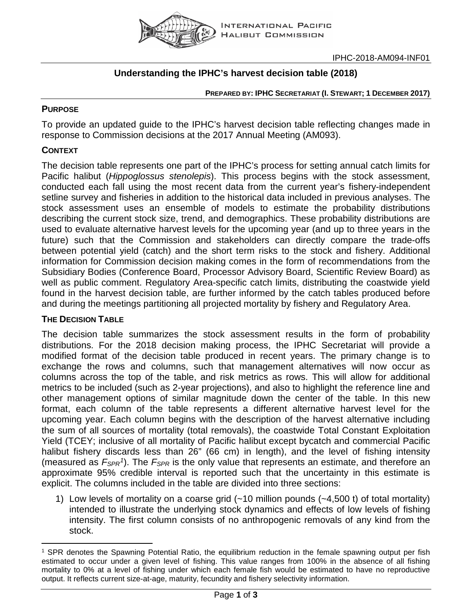

## **Understanding the IPHC's harvest decision table (2018)**

#### **PREPARED BY: IPHC SECRETARIAT (I. STEWART; 1 DECEMBER 2017)**

#### **PURPOSE**

To provide an updated guide to the IPHC's harvest decision table reflecting changes made in response to Commission decisions at the 2017 Annual Meeting (AM093).

### **CONTEXT**

The decision table represents one part of the IPHC's process for setting annual catch limits for Pacific halibut (*Hippoglossus stenolepis*). This process begins with the stock assessment, conducted each fall using the most recent data from the current year's fishery-independent setline survey and fisheries in addition to the historical data included in previous analyses. The stock assessment uses an ensemble of models to estimate the probability distributions describing the current stock size, trend, and demographics. These probability distributions are used to evaluate alternative harvest levels for the upcoming year (and up to three years in the future) such that the Commission and stakeholders can directly compare the trade-offs between potential yield (catch) and the short term risks to the stock and fishery. Additional information for Commission decision making comes in the form of recommendations from the Subsidiary Bodies (Conference Board, Processor Advisory Board, Scientific Review Board) as well as public comment. Regulatory Area-specific catch limits, distributing the coastwide yield found in the harvest decision table, are further informed by the catch tables produced before and during the meetings partitioning all projected mortality by fishery and Regulatory Area.

#### **THE DECISION TABLE**

The decision table summarizes the stock assessment results in the form of probability distributions. For the 2018 decision making process, the IPHC Secretariat will provide a modified format of the decision table produced in recent years. The primary change is to exchange the rows and columns, such that management alternatives will now occur as columns across the top of the table, and risk metrics as rows. This will allow for additional metrics to be included (such as 2-year projections), and also to highlight the reference line and other management options of similar magnitude down the center of the table. In this new format, each column of the table represents a different alternative harvest level for the upcoming year. Each column begins with the description of the harvest alternative including the sum of all sources of mortality (total removals), the coastwide Total Constant Exploitation Yield (TCEY; inclusive of all mortality of Pacific halibut except bycatch and commercial Pacific halibut fishery discards less than 26" (66 cm) in length), and the level of fishing intensity (measured as *FSPR[1](#page-0-0)*). The *FSPR* is the only value that represents an estimate, and therefore an approximate 95% credible interval is reported such that the uncertainty in this estimate is explicit. The columns included in the table are divided into three sections:

1) Low levels of mortality on a coarse grid (~10 million pounds (~4,500 t) of total mortality) intended to illustrate the underlying stock dynamics and effects of low levels of fishing intensity. The first column consists of no anthropogenic removals of any kind from the stock.

<span id="page-0-0"></span> $\overline{a}$ <sup>1</sup> SPR denotes the Spawning Potential Ratio, the equilibrium reduction in the female spawning output per fish estimated to occur under a given level of fishing. This value ranges from 100% in the absence of all fishing mortality to 0% at a level of fishing under which each female fish would be estimated to have no reproductive output. It reflects current size-at-age, maturity, fecundity and fishery selectivity information.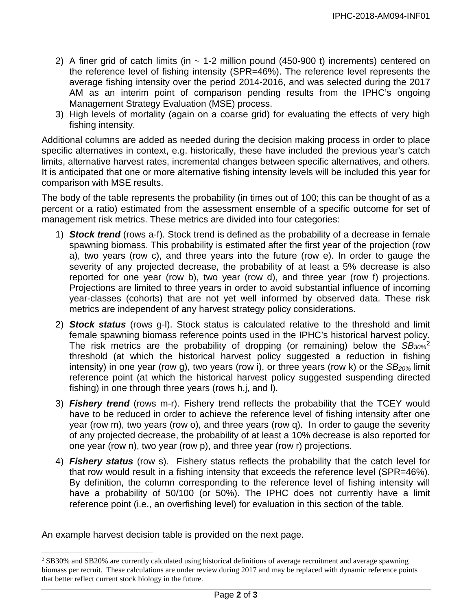- 2) A finer grid of catch limits (in  $\sim$  1-2 million pound (450-900 t) increments) centered on the reference level of fishing intensity (SPR=46%). The reference level represents the average fishing intensity over the period 2014-2016, and was selected during the 2017 AM as an interim point of comparison pending results from the IPHC's ongoing Management Strategy Evaluation (MSE) process.
- 3) High levels of mortality (again on a coarse grid) for evaluating the effects of very high fishing intensity.

Additional columns are added as needed during the decision making process in order to place specific alternatives in context, e.g. historically, these have included the previous year's catch limits, alternative harvest rates, incremental changes between specific alternatives, and others. It is anticipated that one or more alternative fishing intensity levels will be included this year for comparison with MSE results.

The body of the table represents the probability (in times out of 100; this can be thought of as a percent or a ratio) estimated from the assessment ensemble of a specific outcome for set of management risk metrics. These metrics are divided into four categories:

- 1) *Stock trend* (rows a-f). Stock trend is defined as the probability of a decrease in female spawning biomass. This probability is estimated after the first year of the projection (row a), two years (row c), and three years into the future (row e). In order to gauge the severity of any projected decrease, the probability of at least a 5% decrease is also reported for one year (row b), two year (row d), and three year (row f) projections. Projections are limited to three years in order to avoid substantial influence of incoming year-classes (cohorts) that are not yet well informed by observed data. These risk metrics are independent of any harvest strategy policy considerations.
- 2) *Stock status* (rows g-l). Stock status is calculated relative to the threshold and limit female spawning biomass reference points used in the IPHC's historical harvest policy. The risk metrics are the probability of dropping (or remaining) below the *SB30%*[2](#page-1-0) threshold (at which the historical harvest policy suggested a reduction in fishing intensity) in one year (row g), two years (row i), or three years (row k) or the *SB<sub>20%</sub>* limit reference point (at which the historical harvest policy suggested suspending directed fishing) in one through three years (rows h,j, and l).
- 3) *Fishery trend* (rows m-r). Fishery trend reflects the probability that the TCEY would have to be reduced in order to achieve the reference level of fishing intensity after one year (row m), two years (row o), and three years (row q). In order to gauge the severity of any projected decrease, the probability of at least a 10% decrease is also reported for one year (row n), two year (row p), and three year (row r) projections.
- 4) *Fishery status* (row s). Fishery status reflects the probability that the catch level for that row would result in a fishing intensity that exceeds the reference level (SPR=46%). By definition, the column corresponding to the reference level of fishing intensity will have a probability of 50/100 (or 50%). The IPHC does not currently have a limit reference point (i.e., an overfishing level) for evaluation in this section of the table.

An example harvest decision table is provided on the next page.

<span id="page-1-0"></span> <sup>2</sup> SB30% and SB20% are currently calculated using historical definitions of average recruitment and average spawning biomass per recruit. These calculations are under review during 2017 and may be replaced with dynamic reference points that better reflect current stock biology in the future.